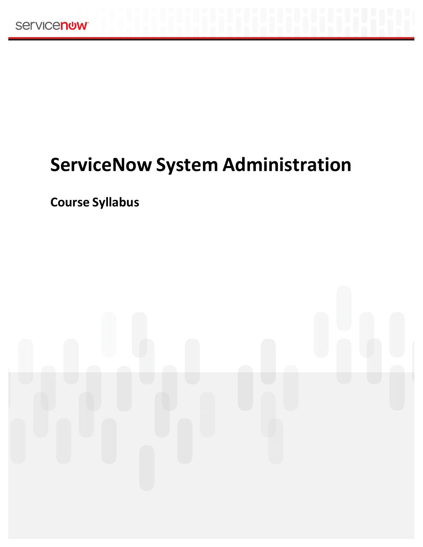# **ServiceNow System Administration**

**Course Syllabus**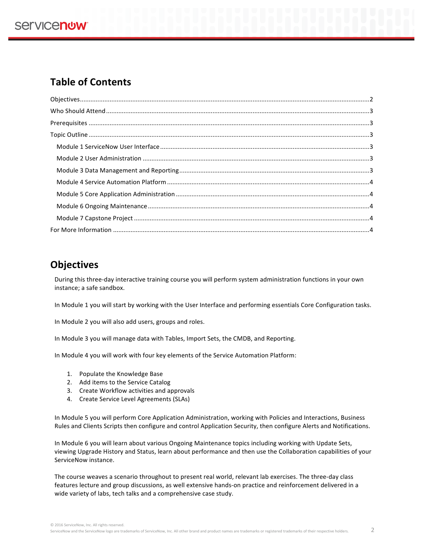## **Table of Contents**

## **Objectives**

During this three-day interactive training course you will perform system administration functions in your own instance; a safe sandbox.

In Module 1 you will start by working with the User Interface and performing essentials Core Configuration tasks.

In Module 2 you will also add users, groups and roles.

In Module 3 you will manage data with Tables, Import Sets, the CMDB, and Reporting.

In Module 4 you will work with four key elements of the Service Automation Platform:

- 1. Populate the Knowledge Base
- 2. Add items to the Service Catalog
- 3. Create Workflow activities and approvals
- 4. Create Service Level Agreements (SLAs)

In Module 5 you will perform Core Application Administration, working with Policies and Interactions, Business Rules and Clients Scripts then configure and control Application Security, then configure Alerts and Notifications.

In Module 6 you will learn about various Ongoing Maintenance topics including working with Update Sets, viewing Upgrade History and Status, learn about performance and then use the Collaboration capabilities of your ServiceNow instance.

The course weaves a scenario throughout to present real world, relevant lab exercises. The three-day class features lecture and group discussions, as well extensive hands-on practice and reinforcement delivered in a wide variety of labs, tech talks and a comprehensive case study.

© 2016 ServiceNow, Inc. All rights reserved.

ServiceNow and the ServiceNow logo are trademarks of ServiceNow, Inc. All other brand and product names are trademarks or registered trademarks of their respective holders. 2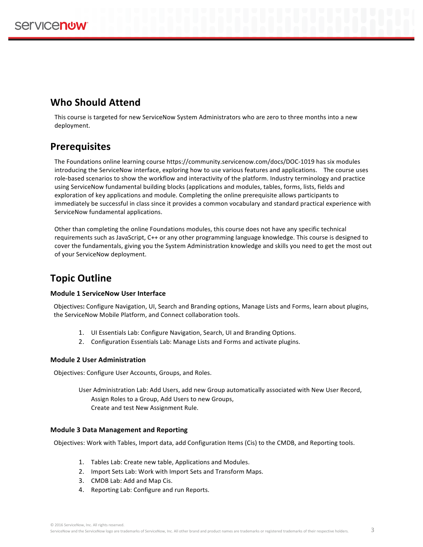## **Who Should Attend**

This course is targeted for new ServiceNow System Administrators who are zero to three months into a new deployment.

## **Prerequisites**

The Foundations online learning course https://community.servicenow.com/docs/DOC-1019 has six modules introducing the ServiceNow interface, exploring how to use various features and applications. The course uses role-based scenarios to show the workflow and interactivity of the platform. Industry terminology and practice using ServiceNow fundamental building blocks (applications and modules, tables, forms, lists, fields and exploration of key applications and module. Completing the online prerequisite allows participants to immediately be successful in class since it provides a common vocabulary and standard practical experience with ServiceNow fundamental applications.

Other than completing the online Foundations modules, this course does not have any specific technical requirements such as JavaScript, C++ or any other programming language knowledge. This course is designed to cover the fundamentals, giving you the System Administration knowledge and skills you need to get the most out of your ServiceNow deployment.

## **Topic Outline**

### **Module 1 ServiceNow User Interface**

Objectives: Configure Navigation, UI, Search and Branding options, Manage Lists and Forms, learn about plugins, the ServiceNow Mobile Platform, and Connect collaboration tools.

- 1. UI Essentials Lab: Configure Navigation, Search, UI and Branding Options.
- 2. Configuration Essentials Lab: Manage Lists and Forms and activate plugins.

### **Module 2 User Administration**

Objectives: Configure User Accounts, Groups, and Roles.

User Administration Lab: Add Users, add new Group automatically associated with New User Record, Assign Roles to a Group, Add Users to new Groups, Create and test New Assignment Rule.

### **Module 3 Data Management and Reporting**

Objectives: Work with Tables, Import data, add Configuration Items (Cis) to the CMDB, and Reporting tools.

- 1. Tables Lab: Create new table, Applications and Modules.
- 2. Import Sets Lab: Work with Import Sets and Transform Maps.
- 3. CMDB Lab: Add and Map Cis.
- 4. Reporting Lab: Configure and run Reports.